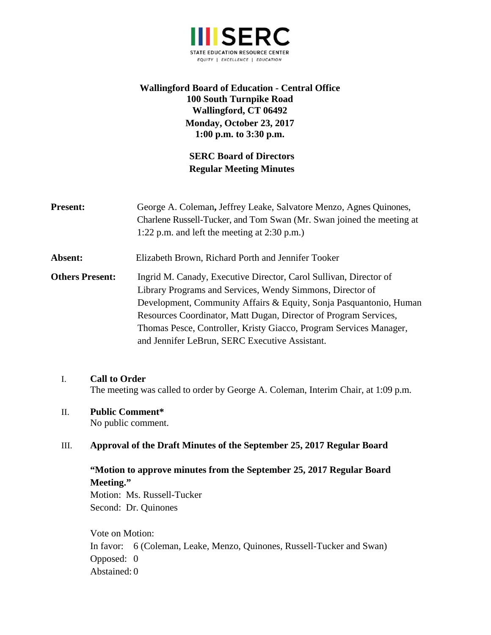

# **Wallingford Board of Education - Central Office 100 South Turnpike Road Wallingford, CT 06492 Monday, October 23, 2017 1:00 p.m. to 3:30 p.m.**

# **SERC Board of Directors Regular Meeting Minutes**

| <b>Present:</b>        | George A. Coleman, Jeffrey Leake, Salvatore Menzo, Agnes Quinones,<br>Charlene Russell-Tucker, and Tom Swan (Mr. Swan joined the meeting at<br>1:22 p.m. and left the meeting at $2:30$ p.m.)                                                                                                                                                                                                    |
|------------------------|--------------------------------------------------------------------------------------------------------------------------------------------------------------------------------------------------------------------------------------------------------------------------------------------------------------------------------------------------------------------------------------------------|
| Absent:                | Elizabeth Brown, Richard Porth and Jennifer Tooker                                                                                                                                                                                                                                                                                                                                               |
| <b>Others Present:</b> | Ingrid M. Canady, Executive Director, Carol Sullivan, Director of<br>Library Programs and Services, Wendy Simmons, Director of<br>Development, Community Affairs & Equity, Sonja Pasquantonio, Human<br>Resources Coordinator, Matt Dugan, Director of Program Services,<br>Thomas Pesce, Controller, Kristy Giacco, Program Services Manager,<br>and Jennifer LeBrun, SERC Executive Assistant. |

## I. **Call to Order**

The meeting was called to order by George A. Coleman, Interim Chair, at 1:09 p.m.

# II. **Public Comment\***

No public comment.

## III. **Approval of the Draft Minutes of the September 25, 2017 Regular Board**

# **"Motion to approve minutes from the September 25, 2017 Regular Board Meeting."**

Motion: Ms. Russell-Tucker Second: Dr. Quinones

Vote on Motion: In favor: 6 (Coleman, Leake, Menzo, Quinones, Russell-Tucker and Swan) Opposed: 0 Abstained: 0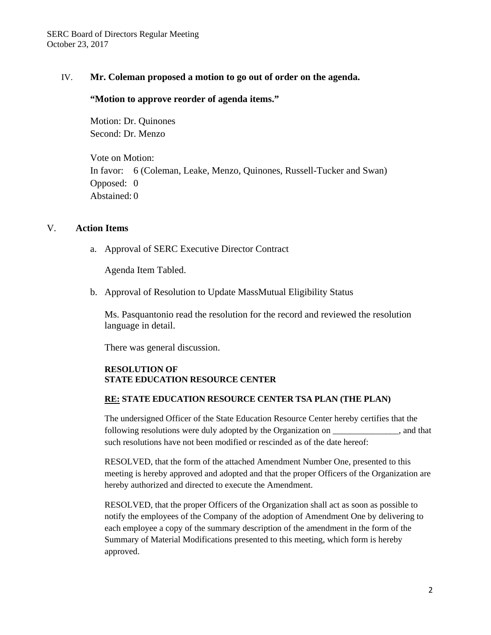### IV. **Mr. Coleman proposed a motion to go out of order on the agenda.**

#### **"Motion to approve reorder of agenda items."**

Motion: Dr. Quinones Second: Dr. Menzo

Vote on Motion: In favor: 6 (Coleman, Leake, Menzo, Quinones, Russell-Tucker and Swan) Opposed: 0 Abstained: 0

#### V. **Action Items**

a. Approval of SERC Executive Director Contract

Agenda Item Tabled.

b. Approval of Resolution to Update MassMutual Eligibility Status

Ms. Pasquantonio read the resolution for the record and reviewed the resolution language in detail.

There was general discussion.

#### **RESOLUTION OF STATE EDUCATION RESOURCE CENTER**

#### **RE: STATE EDUCATION RESOURCE CENTER TSA PLAN (THE PLAN)**

The undersigned Officer of the State Education Resource Center hereby certifies that the following resolutions were duly adopted by the Organization on \_\_\_\_\_\_\_\_\_\_\_\_\_\_\_, and that such resolutions have not been modified or rescinded as of the date hereof:

RESOLVED, that the form of the attached Amendment Number One, presented to this meeting is hereby approved and adopted and that the proper Officers of the Organization are hereby authorized and directed to execute the Amendment.

RESOLVED, that the proper Officers of the Organization shall act as soon as possible to notify the employees of the Company of the adoption of Amendment One by delivering to each employee a copy of the summary description of the amendment in the form of the Summary of Material Modifications presented to this meeting, which form is hereby approved.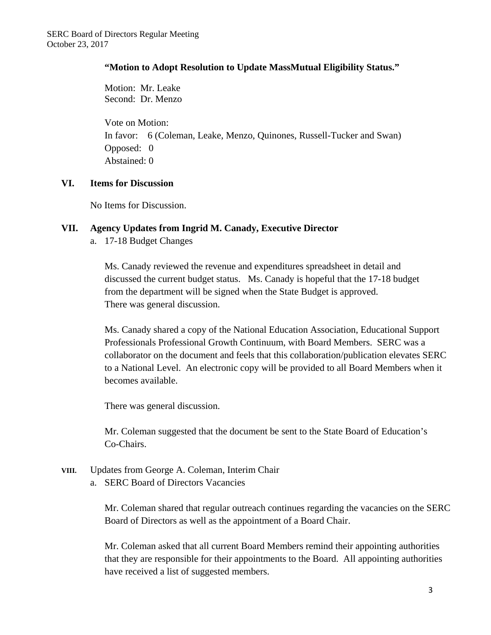## **"Motion to Adopt Resolution to Update MassMutual Eligibility Status."**

Motion: Mr. Leake Second: Dr. Menzo

Vote on Motion: In favor: 6 (Coleman, Leake, Menzo, Quinones, Russell-Tucker and Swan) Opposed: 0 Abstained: 0

# **VI. Items for Discussion**

No Items for Discussion.

# **VII. Agency Updates from Ingrid M. Canady, Executive Director**

a. 17-18 Budget Changes

Ms. Canady reviewed the revenue and expenditures spreadsheet in detail and discussed the current budget status. Ms. Canady is hopeful that the 17-18 budget from the department will be signed when the State Budget is approved. There was general discussion.

Ms. Canady shared a copy of the National Education Association, Educational Support Professionals Professional Growth Continuum, with Board Members. SERC was a collaborator on the document and feels that this collaboration/publication elevates SERC to a National Level. An electronic copy will be provided to all Board Members when it becomes available.

There was general discussion.

Mr. Coleman suggested that the document be sent to the State Board of Education's Co-Chairs.

# **VIII.** Updates from George A. Coleman, Interim Chair

a. SERC Board of Directors Vacancies

Mr. Coleman shared that regular outreach continues regarding the vacancies on the SERC Board of Directors as well as the appointment of a Board Chair.

Mr. Coleman asked that all current Board Members remind their appointing authorities that they are responsible for their appointments to the Board. All appointing authorities have received a list of suggested members.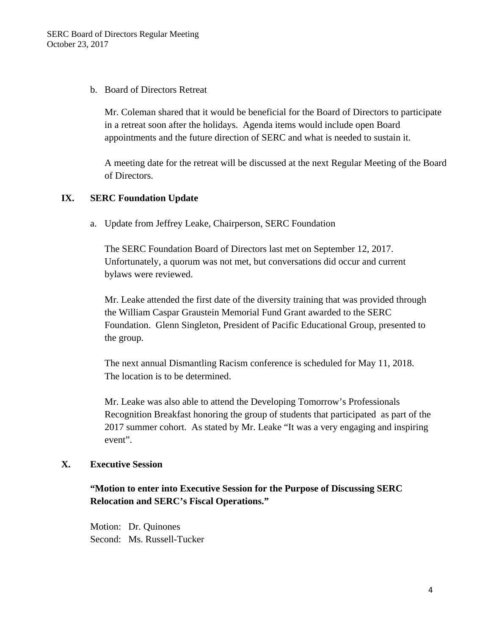## b. Board of Directors Retreat

Mr. Coleman shared that it would be beneficial for the Board of Directors to participate in a retreat soon after the holidays. Agenda items would include open Board appointments and the future direction of SERC and what is needed to sustain it.

A meeting date for the retreat will be discussed at the next Regular Meeting of the Board of Directors.

# **IX. SERC Foundation Update**

a. Update from Jeffrey Leake, Chairperson, SERC Foundation

The SERC Foundation Board of Directors last met on September 12, 2017. Unfortunately, a quorum was not met, but conversations did occur and current bylaws were reviewed.

Mr. Leake attended the first date of the diversity training that was provided through the William Caspar Graustein Memorial Fund Grant awarded to the SERC Foundation. Glenn Singleton, President of Pacific Educational Group, presented to the group.

The next annual Dismantling Racism conference is scheduled for May 11, 2018. The location is to be determined.

Mr. Leake was also able to attend the Developing Tomorrow's Professionals Recognition Breakfast honoring the group of students that participated as part of the 2017 summer cohort. As stated by Mr. Leake "It was a very engaging and inspiring event".

## **X. Executive Session**

**"Motion to enter into Executive Session for the Purpose of Discussing SERC Relocation and SERC's Fiscal Operations."** 

Motion: Dr. Quinones Second: Ms. Russell-Tucker